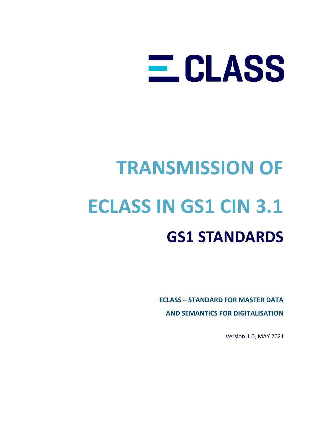# E CLASS

## **TRANSMISSION OF ECLASS IN GS1 CIN 3.1 GS1 STANDARDS**

**ECLASS – STANDARD FOR MASTER DATA AND SEMANTICS FOR DIGITALISATION**

Version 1.0, MAY 2021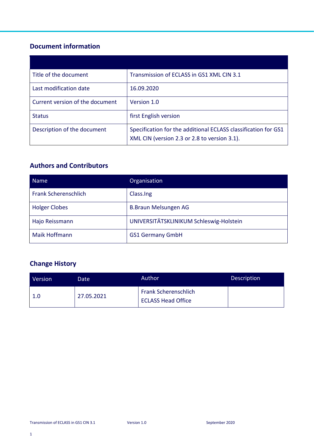## **Document information**

| Title of the document           | Transmission of ECLASS in GS1 XML CIN 3.1                                                                      |
|---------------------------------|----------------------------------------------------------------------------------------------------------------|
| Last modification date          | 16.09.2020                                                                                                     |
| Current version of the document | Version 1.0                                                                                                    |
| <b>Status</b>                   | first English version                                                                                          |
| Description of the document     | Specification for the additional ECLASS classification for GS1<br>XML CIN (version 2.3 or 2.8 to version 3.1). |

## **Authors and Contributors**

| <b>Name</b>                 | Organisation                            |  |
|-----------------------------|-----------------------------------------|--|
| <b>Frank Scherenschlich</b> | Class.Ing                               |  |
| <b>Holger Clobes</b>        | <b>B.Braun Melsungen AG</b>             |  |
| Hajo Reissmann              | UNIVERSITÄTSKLINIKUM Schleswig-Holstein |  |
| <b>Maik Hoffmann</b>        | <b>GS1 Germany GmbH</b>                 |  |

## **Change History**

| Version | Date       | Author                                                   | <b>Description</b> |
|---------|------------|----------------------------------------------------------|--------------------|
| 1.0     | 27.05.2021 | <b>Frank Scherenschlich</b><br><b>ECLASS Head Office</b> |                    |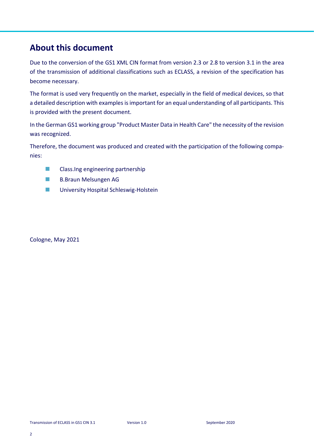## **About this document**

Due to the conversion of the GS1 XML CIN format from version 2.3 or 2.8 to version 3.1 in the area of the transmission of additional classifications such as ECLASS, a revision of the specification has become necessary.

The format is used very frequently on the market, especially in the field of medical devices, so that a detailed description with examples is important for an equal understanding of all participants. This is provided with the present document.

In the German GS1 working group "Product Master Data in Health Care" the necessity of the revision was recognized.

Therefore, the document was produced and created with the participation of the following companies:

- Class.Ing engineering partnership
- **B.Braun Melsungen AG**
- University Hospital Schleswig-Holstein

Cologne, May 2021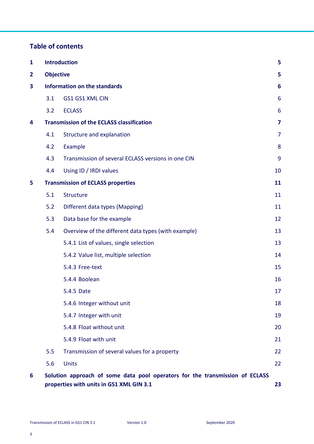## **Table of contents**

| $\mathbf{1}$   | <b>Introduction</b>                 |                                                                                                                          | 5               |
|----------------|-------------------------------------|--------------------------------------------------------------------------------------------------------------------------|-----------------|
| $\overline{2}$ | <b>Objective</b>                    |                                                                                                                          | 5               |
| 3              | <b>Information on the standards</b> |                                                                                                                          | 6               |
|                | 3.1                                 | GS1 GS1 XML CIN                                                                                                          | $6\phantom{1}6$ |
|                | 3.2                                 | <b>ECLASS</b>                                                                                                            | 6               |
| 4              |                                     | <b>Transmission of the ECLASS classification</b>                                                                         | 7               |
|                | 4.1                                 | Structure and explanation                                                                                                | $\overline{7}$  |
|                | 4.2                                 | Example                                                                                                                  | 8               |
|                | 4.3                                 | Transmission of several ECLASS versions in one CIN                                                                       | 9               |
|                | 4.4                                 | Using ID / IRDI values                                                                                                   | 10              |
| 5              |                                     | <b>Transmission of ECLASS properties</b>                                                                                 | 11              |
|                | 5.1                                 | Structure                                                                                                                | 11              |
|                | 5.2                                 | Different data types (Mapping)                                                                                           | 11              |
|                | 5.3                                 | Data base for the example                                                                                                | 12              |
|                | 5.4                                 | Overview of the different data types (with example)                                                                      | 13              |
|                |                                     | 5.4.1 List of values, single selection                                                                                   | 13              |
|                |                                     | 5.4.2 Value list, multiple selection                                                                                     | 14              |
|                |                                     | 5.4.3 Free-text                                                                                                          | 15              |
|                |                                     | 5.4.4 Boolean                                                                                                            | 16              |
|                |                                     | 5.4.5 Date                                                                                                               | 17              |
|                |                                     | 5.4.6 Integer without unit                                                                                               | 18              |
|                |                                     | 5.4.7 Integer with unit                                                                                                  | 19              |
|                |                                     | 5.4.8 Float without unit                                                                                                 | 20              |
|                |                                     | 5.4.9 Float with unit                                                                                                    | 21              |
|                | 5.5                                 | Transmission of several values for a property                                                                            | 22              |
|                | 5.6                                 | <b>Units</b>                                                                                                             | 22              |
| 6              |                                     | Solution approach of some data pool operators for the transmission of ECLASS<br>properties with units in GS1 XML GIN 3.1 | 23              |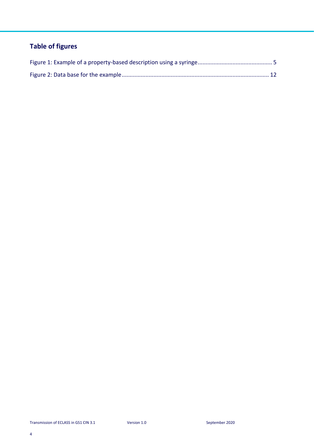## **Table of figures**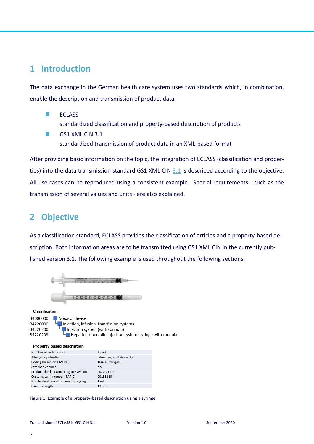## <span id="page-5-0"></span>**1 Introduction**

The data exchange in the German health care system uses two standards which, in combination, enable the description and transmission of product data.

- ◼ ECLASS standardized classification and property-based description of products
- GS1 XML CIN 3.1 standardized transmission of product data in an XML-based format

After providing basic information on the topic, the integration of ECLASS (classification and properties) into the data transmission standard GS1 XML CIN [3.1](#page-6-1) is described according to the objective. All use cases can be reproduced using a consistent example. Special requirements - such as the transmission of several values and units - are also explained.

## <span id="page-5-1"></span>**2 Objective**

As a classification standard, ECLASS provides the classification of articles and a property-based description. Both information areas are to be transmitted using GS1 XML CIN in the currently published version 3.1. The following example is used throughout the following sections.



#### Classification

34000000 Medical device Injection, infusion, transfusion systems 34220000 34220200  $\Box$  Injection system (with cannula) Heparin, tuberculin injection system (syringe with cannula) 34220203

#### Property based description

| 3-part                      |
|-----------------------------|
| latex-free, contains nickel |
| 16824-Syringes              |
| No                          |
| 2020-01-01                  |
| 90183110                    |
| 1 <sub>m</sub>              |
| $12 \text{ mm}$             |
|                             |

<span id="page-5-2"></span>Figure 1: Example of a property-based description using a syringe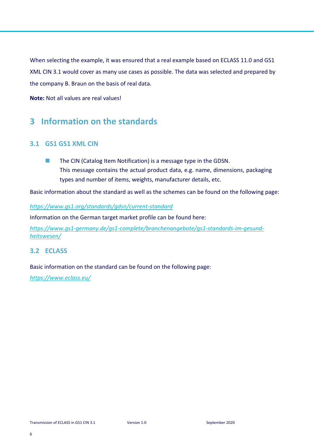When selecting the example, it was ensured that a real example based on ECLASS 11.0 and GS1 XML CIN 3.1 would cover as many use cases as possible. The data was selected and prepared by the company B. Braun on the basis of real data.

**Note:** Not all values are real values!

## <span id="page-6-0"></span>**3 Information on the standards**

## <span id="page-6-1"></span>**3.1 GS1 GS1 XML CIN**

■ The CIN (Catalog Item Notification) is a message type in the GDSN. This message contains the actual product data, e.g. name, dimensions, packaging types and number of items, weights, manufacturer details, etc.

Basic information about the standard as well as the schemes can be found on the following page:

#### *<https://www.gs1.org/standards/gdsn/current-standard>*

Information on the German target market profile can be found here:

*[https://www.gs1-germany.de/gs1-complete/branchenangebote/gs1-standards-im-gesund](https://www.gs1-germany.de/gs1-complete/branchenangebote/gs1-standards-im-gesundheitswesen/)[heitswesen/](https://www.gs1-germany.de/gs1-complete/branchenangebote/gs1-standards-im-gesundheitswesen/)*

### <span id="page-6-2"></span>**3.2 ECLASS**

Basic information on the standard can be found on the following page:

*<https://www.eclass.eu/>*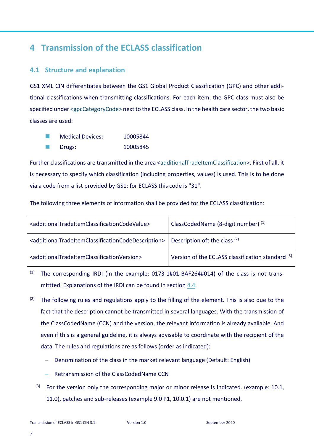## <span id="page-7-0"></span>**4 Transmission of the ECLASS classification**

## <span id="page-7-1"></span>**4.1 Structure and explanation**

GS1 XML CIN differentiates between the GS1 Global Product Classification (GPC) and other additional classifications when transmitting classifications. For each item, the GPC class must also be specified under <gpcCategoryCode> next to the ECLASS class. In the health care sector, the two basic classes are used:

◼ Medical Devices: 10005844 ■ Drugs: 10005845

Further classifications are transmitted in the area <additionalTradeItemClassification>. First of all, it is necessary to specify which classification (including properties, values) is used. This is to be done via a code from a list provided by GS1; for ECLASS this code is "31".

The following three elements of information shall be provided for the ECLASS classification:

| <additionaltradeitemclassificationcodevalue></additionaltradeitemclassificationcodevalue>             | ClassCodedName (8-digit number) (1)               |
|-------------------------------------------------------------------------------------------------------|---------------------------------------------------|
| <additionaltradeitemclassificationcodedescription></additionaltradeitemclassificationcodedescription> | Description oft the class (2)                     |
| <additionaltradeitemclassificationversion></additionaltradeitemclassificationversion>                 | Version of the ECLASS classification standard (3) |

(1) The corresponding IRDI (in the example: 0173-1#01-BAF264#014) of the class is not transmittted. Explanations of the IRDI can be found in section [4.4.](#page-10-0)

- <sup>(2)</sup> The following rules and regulations apply to the filling of the element. This is also due to the fact that the description cannot be transmitted in several languages. With the transmission of the ClassCodedName (CCN) and the version, the relevant information is already available. And even if this is a general guideline, it is always advisable to coordinate with the recipient of the data. The rules and regulations are as follows (order as indicated):
	- Denomination of the class in the market relevant language (Default: English)
	- − Retransmission of the ClassCodedName CCN
	- $(3)$  For the version only the corresponding major or minor release is indicated. (example: 10.1, 11.0), patches and sub-releases (example 9.0 P1, 10.0.1) are not mentioned.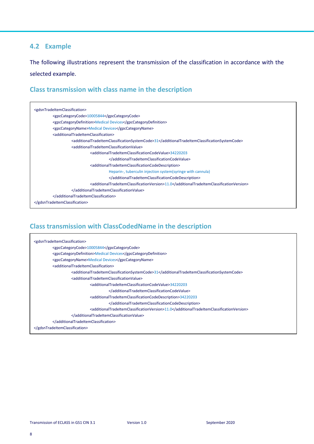## <span id="page-8-0"></span>**4.2 Example**

The following illustrations represent the transmission of the classification in accordance with the selected example.

## **Class transmission with class name in the description**

| <gdsntradeitemclassification></gdsntradeitemclassification>                                           |  |  |
|-------------------------------------------------------------------------------------------------------|--|--|
| <gpccategorycode>10005844</gpccategorycode>                                                           |  |  |
| <gpccategorydefinition>Medical Devices</gpccategorydefinition>                                        |  |  |
| <gpccategoryname>Medical Devices</gpccategoryname>                                                    |  |  |
| <additionaltradeitemclassification></additionaltradeitemclassification>                               |  |  |
| <additionaltradeltemclassificationsystemcode>31</additionaltradeltemclassificationsystemcode>         |  |  |
| <additionaltradeitemclassificationvalue></additionaltradeitemclassificationvalue>                     |  |  |
| <additionaltradeitemclassificationcodevalue>34220203</additionaltradeitemclassificationcodevalue>     |  |  |
|                                                                                                       |  |  |
| <additionaltradeitemclassificationcodedescription></additionaltradeitemclassificationcodedescription> |  |  |
| Heparin-, tuberculin injection system (syringe with cannula)                                          |  |  |
|                                                                                                       |  |  |
| <additionaltradeitemclassificationversion>11.0</additionaltradeitemclassificationversion>             |  |  |
|                                                                                                       |  |  |
|                                                                                                       |  |  |
|                                                                                                       |  |  |

## **Class transmission with ClassCodedName in the description**

| <gdsntradeitemclassification></gdsntradeitemclassification>                                                   |
|---------------------------------------------------------------------------------------------------------------|
| <gpccategorycode>10005844</gpccategorycode>                                                                   |
| <gpccategorydefinition>Medical Devices</gpccategorydefinition>                                                |
| <gpccategoryname>Medical Devices</gpccategoryname>                                                            |
| <additionaltradeitemclassification></additionaltradeitemclassification>                                       |
| <additionaltradeitemclassificationsystemcode>31</additionaltradeitemclassificationsystemcode>                 |
| <additionaltradeitemclassificationvalue></additionaltradeitemclassificationvalue>                             |
| <additionaltradeitemclassificationcodevalue>34220203</additionaltradeitemclassificationcodevalue>             |
|                                                                                                               |
| <additionaltradeitemclassificationcodedescription>34220203</additionaltradeitemclassificationcodedescription> |
|                                                                                                               |
| <additionaltradeitemclassificationversion>11.0</additionaltradeitemclassificationversion>                     |
|                                                                                                               |
|                                                                                                               |
|                                                                                                               |

 $\blacksquare$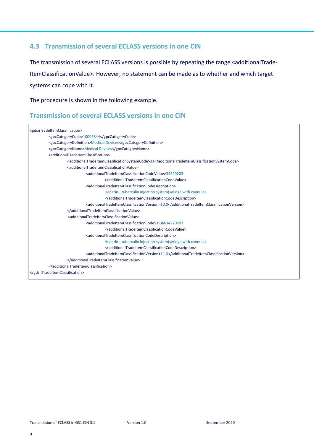## <span id="page-9-0"></span>**4.3 Transmission of several ECLASS versions in one CIN**

The transmission of several ECLASS versions is possible by repeating the range <additionalTrade-ItemClassificationValue>. However, no statement can be made as to whether and which target systems can cope with it.

The procedure is shown in the following example.

## **Transmission of several ECLASS versions in one CIN**

| <gdsntradeitemclassification></gdsntradeitemclassification>                                                                                                                        |  |
|------------------------------------------------------------------------------------------------------------------------------------------------------------------------------------|--|
| <gpccategorycode>10005844</gpccategorycode>                                                                                                                                        |  |
| <gpccategorydefinition>Medical Devices</gpccategorydefinition>                                                                                                                     |  |
| <gpccategoryname>Medical Devices</gpccategoryname>                                                                                                                                 |  |
| <additionaltradeitemclassification></additionaltradeitemclassification>                                                                                                            |  |
|                                                                                                                                                                                    |  |
| <additionaltradeitemclassificationsystemcode>31</additionaltradeitemclassificationsystemcode><br><additionaltradeitemclassificationvalue></additionaltradeitemclassificationvalue> |  |
|                                                                                                                                                                                    |  |
| <additionaltradeitemclassificationcodevalue>34220203</additionaltradeitemclassificationcodevalue>                                                                                  |  |
|                                                                                                                                                                                    |  |
| <additionaltradeitemclassificationcodedescription></additionaltradeitemclassificationcodedescription>                                                                              |  |
| Heparin-, tuberculin injection system (syringe with cannula)                                                                                                                       |  |
|                                                                                                                                                                                    |  |
| <additionaltradeitemclassificationversion>10.0</additionaltradeitemclassificationversion>                                                                                          |  |
|                                                                                                                                                                                    |  |
| <additionaltradeitemclassificationvalue></additionaltradeitemclassificationvalue>                                                                                                  |  |
| <additionaltradeitemclassificationcodevalue>34220203</additionaltradeitemclassificationcodevalue>                                                                                  |  |
|                                                                                                                                                                                    |  |
| <additionaltradeitemclassificationcodedescription></additionaltradeitemclassificationcodedescription>                                                                              |  |
| Heparin-, tuberculin injection system(syringe with cannula)                                                                                                                        |  |
|                                                                                                                                                                                    |  |
| <additionaltradeitemclassificationversion>11.0</additionaltradeitemclassificationversion>                                                                                          |  |
|                                                                                                                                                                                    |  |
|                                                                                                                                                                                    |  |
|                                                                                                                                                                                    |  |
|                                                                                                                                                                                    |  |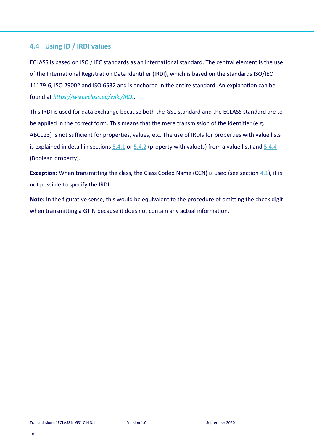## <span id="page-10-0"></span>**4.4 Using ID / IRDI values**

ECLASS is based on ISO / IEC standards as an international standard. The central element is the use of the International Registration Data Identifier (IRDI), which is based on the standards ISO/IEC 11179-6, ISO 29002 and ISO 6532 and is anchored in the entire standard. An explanation can be found at *https://wiki.eclass.eu/wiki/IRDI*.

This IRDI is used for data exchange because both the GS1 standard and the ECLASS standard are to be applied in the correct form. This means that the mere transmission of the identifier (e.g. ABC123) is not sufficient for properties, values, etc. The use of IRDIs for properties with value lists is explained in detail in sections  $5.4.1$  or  $5.4.2$  (property with value(s) from a value list) and  $5.4.4$ (Boolean property).

**Exception:** When transmitting the class, the Class Coded Name (CCN) is used (see section [4.1\)](#page-7-1), it is not possible to specify the IRDI.

**Note:** In the figurative sense, this would be equivalent to the procedure of omitting the check digit when transmitting a GTIN because it does not contain any actual information.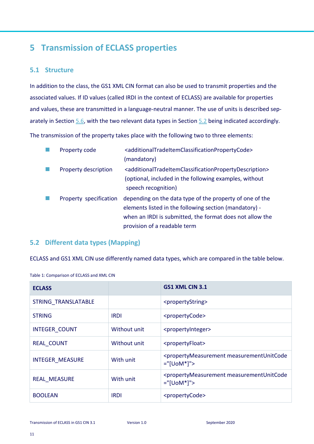## <span id="page-11-0"></span>**5 Transmission of ECLASS properties**

### <span id="page-11-1"></span>**5.1 Structure**

In addition to the class, the GS1 XML CIN format can also be used to transmit properties and the associated values. If ID values (called IRDI in the context of ECLASS) are available for properties and values, these are transmitted in a language-neutral manner. The use of units is described sep-arately in Section [5.6,](#page-22-1) with the two relevant data types in Section [5.2](#page-11-2) being indicated accordingly.

The transmission of the property takes place with the following two to three elements:

| Property code          | <additionaltradeitemclassificationpropertycode></additionaltradeitemclassificationpropertycode>               |
|------------------------|---------------------------------------------------------------------------------------------------------------|
|                        | (mandatory)                                                                                                   |
| Property description   | <additionaltradeitemclassificationpropertydescription></additionaltradeitemclassificationpropertydescription> |
|                        | (optional, included in the following examples, without                                                        |
|                        | speech recognition)                                                                                           |
| Property specification | depending on the data type of the property of one of the                                                      |
|                        | elements listed in the following section (mandatory) -                                                        |
|                        | when an IRDI is submitted, the format does not allow the                                                      |
|                        | provision of a readable term                                                                                  |

## <span id="page-11-2"></span>**5.2 Different data types (Mapping)**

ECLASS and GS1 XML CIN use differently named data types, which are compared in the table below.

| <b>ECLASS</b>          |              | GS1 XML CIN 3.1                                                                                 |
|------------------------|--------------|-------------------------------------------------------------------------------------------------|
| STRING TRANSLATABLE    |              | <propertystring></propertystring>                                                               |
| <b>STRING</b>          | <b>IRDI</b>  | <propertycode></propertycode>                                                                   |
| <b>INTEGER COUNT</b>   | Without unit | <propertyinteger></propertyinteger>                                                             |
| <b>REAL COUNT</b>      | Without unit | <propertyfloat></propertyfloat>                                                                 |
| <b>INTEGER MEASURE</b> | With unit    | <propertymeasurement measurementunitcode<br=""><math>=</math>"[UoM*]"&gt;</propertymeasurement> |
| <b>REAL MEASURE</b>    | With unit    | <propertymeasurement measurementunitcode<br=""><math>=</math>"[UoM*]"&gt;</propertymeasurement> |
| <b>BOOLEAN</b>         | IRDI         | <propertycode></propertycode>                                                                   |

Table 1: Comparison of ECLASS and XML CIN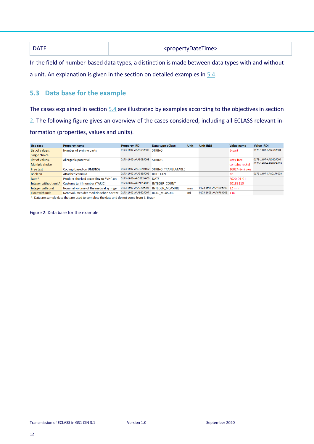| <b>DATE</b> | <propertydatetime></propertydatetime> |
|-------------|---------------------------------------|
|-------------|---------------------------------------|

In the field of number-based data types, a distinction is made between data types with and without a unit. An explanation is given in the section on detailed examples in [5.4.](#page-13-0)

## <span id="page-12-0"></span>**5.3 Data base for the example**

The cases explained in section [5.4](#page-13-0) are illustrated by examples according to the objectives in section [2.](#page-5-1) The following figure gives an overview of the cases considered, including all ECLASS relevant information (properties, values and units).

| Use case                                                                                                         | <b>Property name</b>                  | <b>Property IRDI</b>      | Data type eClass                         | <b>Unit</b> | <b>Unit IRDI</b>           | Value name      | <b>Value IRDI</b>    |
|------------------------------------------------------------------------------------------------------------------|---------------------------------------|---------------------------|------------------------------------------|-------------|----------------------------|-----------------|----------------------|
| List of values,                                                                                                  | Number of syringe parts               | 0173-1#02-AAA363#005      | <b>STRING</b>                            |             |                            | 3-part          | 0173-1#07-AAJ261#004 |
| Single choice                                                                                                    |                                       |                           |                                          |             |                            |                 |                      |
| List of values,                                                                                                  | Allergenic potential                  | 0173-1#02-AAA305#008      | <b>STRING</b>                            |             |                            | latex-free,     | 0173-1#07-AAJ030#004 |
| Multiple choice                                                                                                  |                                       |                           |                                          |             |                            | contains nickel | 0173-1#07-AAB200#003 |
| Free text                                                                                                        | Coding (based on UMDNS)               |                           | 0173-1#02-AAQ199#002 STRING TRANSLATABLE |             |                            | 16824-Syringes  |                      |
| <b>Boolean</b>                                                                                                   | <b>Attached cannula</b>               | 0173-1#02-AAA389#006      | <b>BOOLEAN</b>                           |             |                            | <b>No</b>       | 0173-1#07-CAA017#003 |
| Date*                                                                                                            | Product checked according to SVHC on  | 0173-1#02-AAO222#003 DATF |                                          |             |                            | 2020-01-01      |                      |
| Integer without unit*                                                                                            | <b>Customs tariff number (TARIC)</b>  | 0173-1#02-AAD931#005      | <b>INTEGER COUNT</b>                     |             |                            | 90183110        |                      |
| Integer with unit                                                                                                | Nominal volume of the medical syringe | 0173-1#02-AAA720#007      | <b>INTEGER MEASURE</b>                   | mm          | 0173-1#05-AAA480#003 12 mm |                 |                      |
| Float with unit                                                                                                  | Nennvolumen der medizinischen Spritze | 0173-1#02-AAA962#007      | <b>REAL MEASURE</b>                      | ml          | 0173-1#05-AAA678#003 1 ml  |                 |                      |
| the Property of the control of the control of the control of the children and the section of the set Property of |                                       |                           |                                          |             |                            |                 |                      |

\*: Data are sample data that are used to complete the data and do not come from B. Braun

<span id="page-12-1"></span>Figure 2: Data base for the example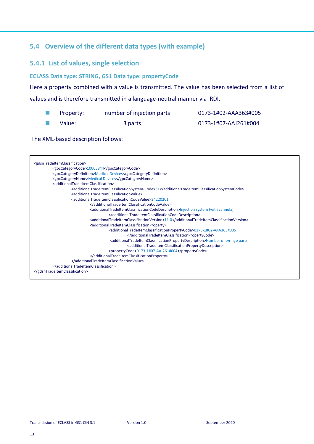## <span id="page-13-0"></span>**5.4 Overview of the different data types (with example)**

## <span id="page-13-1"></span>**5.4.1 List of values, single selection**

#### **ECLASS Data type: STRING, GS1 Data type: propertyCode**

Here a property combined with a value is transmitted. The value has been selected from a list of values and is therefore transmitted in a language-neutral manner via IRDI.

| Property: | number of injection parts | 0173-1#02-AAA363#005 |
|-----------|---------------------------|----------------------|
| Value:    | 3 parts                   | 0173-1#07-AAJ261#004 |

| <gdsntradeitemclassification></gdsntradeitemclassification>                                                                          |
|--------------------------------------------------------------------------------------------------------------------------------------|
| <gpccategorycode>10005844</gpccategorycode>                                                                                          |
| <gpccategorydefinition>Medical Devices</gpccategorydefinition>                                                                       |
| <gpccategoryname>Medical Devices</gpccategoryname>                                                                                   |
| <additionaltradeitemclassification></additionaltradeitemclassification>                                                              |
| <additionaltradeitemclassificationsystem-code>31</additionaltradeitemclassificationsystem-code>                                      |
| <additionaltradeitemclassificationvalue></additionaltradeitemclassificationvalue>                                                    |
| <additionaltradeitemclassificationcodevalue>34220201</additionaltradeitemclassificationcodevalue>                                    |
|                                                                                                                                      |
| <additionaltradeitemclassificationcodedescription>Injection system (with cannula)</additionaltradeitemclassificationcodedescription> |
|                                                                                                                                      |
| <additionaltradeitemclassificationversion>11.0</additionaltradeitemclassificationversion>                                            |
| <additionaltradeitemclassificationproperty></additionaltradeitemclassificationproperty>                                              |
| <additionaltradeitemclassificationpropertycode>0173-1#02-AAA363#005</additionaltradeitemclassificationpropertycode>                  |
|                                                                                                                                      |
| <additionaltradeitemclassificationpropertydescription>Number of syringe parts</additionaltradeitemclassificationpropertydescription> |
| <additionaltradeitemclassificationpropertydescription></additionaltradeitemclassificationpropertydescription>                        |
| <propertycode>0173-1#07-AAJ261#004</propertycode>                                                                                    |
|                                                                                                                                      |
|                                                                                                                                      |
|                                                                                                                                      |
|                                                                                                                                      |
|                                                                                                                                      |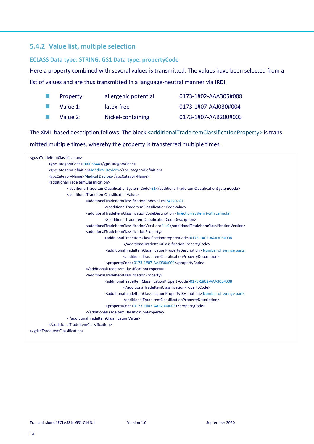## <span id="page-14-0"></span>**5.4.2 Value list, multiple selection**

#### **ECLASS Data type: STRING, GS1 Data type: propertyCode**

Here a property combined with several values is transmitted. The values have been selected from a

list of values and are thus transmitted in a language-neutral manner via IRDI.

| a ser | Property: | allergenic potential | 0173-1#02-AAA305#008 |
|-------|-----------|----------------------|----------------------|
|       | Value 1:  | latex-free           | 0173-1#07-AAJ030#004 |
|       | Value 2:  | Nickel-containing    | 0173-1#07-AAB200#003 |

The XML-based description follows. The block <additionalTradeItemClassificationProperty> is trans-

mitted multiple times, whereby the property is transferred multiple times.

| <gdsntradeitemclassification></gdsntradeitemclassification>                                                                           |
|---------------------------------------------------------------------------------------------------------------------------------------|
| <gpccategorycode>10005844</gpccategorycode>                                                                                           |
| <gpccategorydefinition>Medical Devices</gpccategorydefinition>                                                                        |
| <gpccategoryname>Medical Devices</gpccategoryname>                                                                                    |
| <additionaltradeitemclassification></additionaltradeitemclassification>                                                               |
| <additionaltradeitemclassificationsystem-code>31</additionaltradeitemclassificationsystem-code>                                       |
| <additionaltradeitemclassificationvalue></additionaltradeitemclassificationvalue>                                                     |
| <additionaltradeitemclassificationcodevalue>34220201</additionaltradeitemclassificationcodevalue>                                     |
|                                                                                                                                       |
| <additionaltradeitemclassificationcodedescription> Injection system (with cannula)</additionaltradeitemclassificationcodedescription> |
|                                                                                                                                       |
| <additionaltradeitemclassificationversi-on>11.0</additionaltradeitemclassificationversi-on>                                           |
| <additionaltradeitemclassificationproperty></additionaltradeitemclassificationproperty>                                               |
| <additionaltradeitemclassificationpropertycode>0173-1#02-AAA305#008</additionaltradeitemclassificationpropertycode>                   |
|                                                                                                                                       |
| <additionaltradeitemclassificationpropertydescription> Number of syringe parts</additionaltradeitemclassificationpropertydescription> |
| <additionaltradeitemclassificationpropertydescription></additionaltradeitemclassificationpropertydescription>                         |
| <propertycode>0173-1#07-AAJ030#004</propertycode>                                                                                     |
|                                                                                                                                       |
| <additionaltradeitemclassificationproperty></additionaltradeitemclassificationproperty>                                               |
| <additionaltradeitemclassificationpropertycode>0173-1#02-AAA305#008</additionaltradeitemclassificationpropertycode>                   |
|                                                                                                                                       |
| <additionaltradeitemclassificationpropertydescription> Number of syringe parts</additionaltradeitemclassificationpropertydescription> |
| <additionaltradeitemclassificationpropertydescription></additionaltradeitemclassificationpropertydescription>                         |
| <propertycode>0173-1#07-AAB200#003</propertycode>                                                                                     |
|                                                                                                                                       |
|                                                                                                                                       |
|                                                                                                                                       |
|                                                                                                                                       |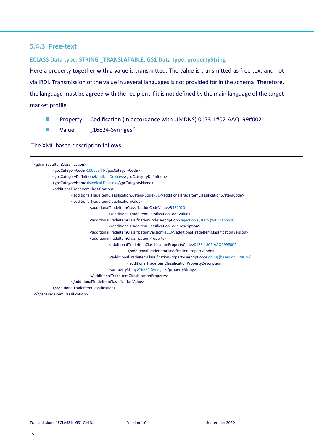#### <span id="page-15-0"></span>**5.4.3 Free-text**

#### **ECLASS Data type: STRING \_TRANSLATABLE, GS1 Data type: propertyString**

Here a property together with a value is transmitted. The value is transmitted as free text and not via IRDI. Transmission of the value in several languages is not provided for in the schema. Therefore, the language must be agreed with the recipient if it is not defined by the main language of the target market profile.

- Property: Codification (in accordance with UMDNS) 0173-1#02-AAQ199#002
- Value: "16824-Syringes"

| <gdsntradeitemclassification></gdsntradeitemclassification>                                                                           |
|---------------------------------------------------------------------------------------------------------------------------------------|
|                                                                                                                                       |
| <gpccategorycode>10005844</gpccategorycode>                                                                                           |
| <gpccategorydefinition>Medical Devices</gpccategorydefinition>                                                                        |
| <gpccategoryname>Medical Devices</gpccategoryname>                                                                                    |
| <additionaltradeitemclassification></additionaltradeitemclassification>                                                               |
| <additionaltradeitemclassificationsystem-code>31</additionaltradeitemclassificationsystem-code>                                       |
| <additionaltradeitemclassificationvalue></additionaltradeitemclassificationvalue>                                                     |
| <additionaltradeitemclassificationcodevalue>34220201</additionaltradeitemclassificationcodevalue>                                     |
|                                                                                                                                       |
| <additionaltradeitemclassificationcodedescription> Injection system (with cannula)</additionaltradeitemclassificationcodedescription> |
|                                                                                                                                       |
| <additionaltradeitemclassificationversion>11.0</additionaltradeitemclassificationversion>                                             |
| <additionaltradeitemclassificationproperty></additionaltradeitemclassificationproperty>                                               |
| <additionaltradeitemclassificationpropertycode>0173-1#02-AAQ199#002</additionaltradeitemclassificationpropertycode>                   |
|                                                                                                                                       |
| <additionaltradeitemclassificationpropertydescription>Coding (based on UMDNS)</additionaltradeitemclassificationpropertydescription>  |
| <additionaltradeitemclassificationpropertydescription></additionaltradeitemclassificationpropertydescription>                         |
| <propertystring>16824-Syringes</propertystring>                                                                                       |
|                                                                                                                                       |
|                                                                                                                                       |
|                                                                                                                                       |
|                                                                                                                                       |
|                                                                                                                                       |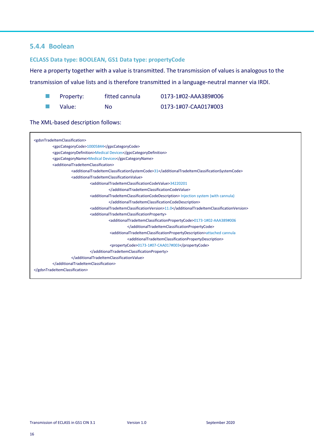## <span id="page-16-0"></span>**5.4.4 Boolean**

#### **ECLASS Data type: BOOLEAN, GS1 Data type: propertyCode**

Here a property together with a value is transmitted. The transmission of values is analogous to the

transmission of value lists and is therefore transmitted in a language-neutral manner via IRDI.

| Property: | fitted cannula | 0173-1#02-AAA389#006 |
|-----------|----------------|----------------------|
|           |                |                      |

■ Value: No 0173-1#07-CAA017#003

| <gdsntradeitemclassification></gdsntradeitemclassification>                                                                           |  |
|---------------------------------------------------------------------------------------------------------------------------------------|--|
| <gpccategorycode>10005844</gpccategorycode>                                                                                           |  |
| <gpccategorydefinition>Medical Devices</gpccategorydefinition>                                                                        |  |
| <gpccategoryname>Medical Devices</gpccategoryname>                                                                                    |  |
| <additionaltradeitemclassification></additionaltradeitemclassification>                                                               |  |
| <additionaltradeitemclassificationsystemcode>31</additionaltradeitemclassificationsystemcode>                                         |  |
| <additionaltradeitemclassificationvalue></additionaltradeitemclassificationvalue>                                                     |  |
| <additionaltradeitemclassificationcodevalue>34220201</additionaltradeitemclassificationcodevalue>                                     |  |
|                                                                                                                                       |  |
| <additionaltradeitemclassificationcodedescription> Injection system (with cannula)</additionaltradeitemclassificationcodedescription> |  |
|                                                                                                                                       |  |
| <additionaltradeitemclassificationversion>11.0</additionaltradeitemclassificationversion>                                             |  |
| <additionaltradeitemclassificationproperty></additionaltradeitemclassificationproperty>                                               |  |
| <additionaltradeitemclassificationpropertycode>0173-1#02-AAA389#006</additionaltradeitemclassificationpropertycode>                   |  |
|                                                                                                                                       |  |
| <additionaltradeitemclassificationpropertydescription>attached cannula</additionaltradeitemclassificationpropertydescription>         |  |
| <additionaltradeitemclassificationpropertydescription></additionaltradeitemclassificationpropertydescription>                         |  |
| <propertycode>0173-1#07-CAA017#003</propertycode>                                                                                     |  |
|                                                                                                                                       |  |
|                                                                                                                                       |  |
|                                                                                                                                       |  |
|                                                                                                                                       |  |
|                                                                                                                                       |  |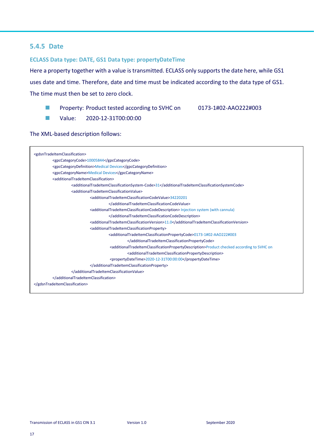## <span id="page-17-0"></span>**5.4.5 Date**

#### **ECLASS Data type: DATE, GS1 Data type: propertyDateTime**

Here a property together with a value is transmitted. ECLASS only supports the date here, while GS1

uses date and time. Therefore, date and time must be indicated according to the data type of GS1.

The time must then be set to zero clock.

- Property: Product tested according to SVHC on 0173-1#02-AAO222#003
	-

■ Value: 2020-12-31T00:00:00

| <gdsntradeitemclassification></gdsntradeitemclassification>                                                                                       |
|---------------------------------------------------------------------------------------------------------------------------------------------------|
| <gpccategorycode>10005844</gpccategorycode>                                                                                                       |
| <gpccategorydefinition>Medical Devices</gpccategorydefinition>                                                                                    |
| <gpccategoryname>Medical Devices</gpccategoryname>                                                                                                |
| <additionaltradeitemclassification></additionaltradeitemclassification>                                                                           |
| <additionaltradeitemclassificationsystem-code>31</additionaltradeitemclassificationsystem-code>                                                   |
| <additionaltradeitemclassificationvalue></additionaltradeitemclassificationvalue>                                                                 |
| <additionaltradeitemclassificationcodevalue>34220201</additionaltradeitemclassificationcodevalue>                                                 |
|                                                                                                                                                   |
| <additionaltradeitemclassificationcodedescription> Injection system (with cannula)</additionaltradeitemclassificationcodedescription>             |
|                                                                                                                                                   |
| <additionaltradeitemclassificationversion>11.0</additionaltradeitemclassificationversion>                                                         |
| <additionaltradeitemclassificationproperty></additionaltradeitemclassificationproperty>                                                           |
| <additionaltradeitemclassificationpropertycode>0173-1#02-AAO222#003</additionaltradeitemclassificationpropertycode>                               |
|                                                                                                                                                   |
| <additionaltradeitemclassificationpropertydescription>Product checked according to SVHC on</additionaltradeitemclassificationpropertydescription> |
| <additionaltradeitemclassificationpropertydescription></additionaltradeitemclassificationpropertydescription>                                     |
| <propertydatetime>2020-12-31T00:00:00</propertydatetime>                                                                                          |
|                                                                                                                                                   |
|                                                                                                                                                   |
|                                                                                                                                                   |
|                                                                                                                                                   |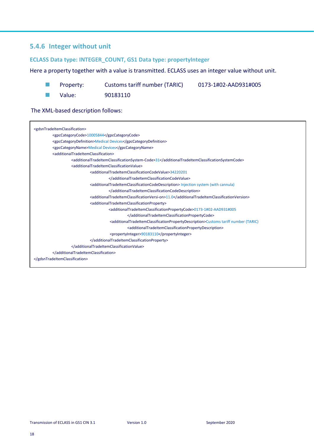## <span id="page-18-0"></span>**5.4.6 Integer without unit**

#### **ECLASS Data type: INTEGER\_COUNT, GS1 Data type: propertyInteger**

### Here a property together with a value is transmitted. ECLASS uses an integer value without unit.

- Property: Customs tariff number (TARIC) 0173-1#02-AAD931#005
	-

■ Value: 90183110

| <gdsntradeitemclassification></gdsntradeitemclassification>                                                                                |
|--------------------------------------------------------------------------------------------------------------------------------------------|
| <gpccategorycode>10005844</gpccategorycode>                                                                                                |
| <gpccategorydefinition>Medical Devices</gpccategorydefinition>                                                                             |
| <gpccategoryname>Medical Devices</gpccategoryname>                                                                                         |
| <additionaltradeitemclassification></additionaltradeitemclassification>                                                                    |
| <additionaltradeitemclassificationsystem-code>31</additionaltradeitemclassificationsystem-code>                                            |
| <additionaltradeitemclassificationvalue></additionaltradeitemclassificationvalue>                                                          |
| <additionaltradeitemclassificationcodevalue>34220201</additionaltradeitemclassificationcodevalue>                                          |
|                                                                                                                                            |
| <additionaltradeitemclassificationcodedescription> Injection system (with cannula)</additionaltradeitemclassificationcodedescription>      |
|                                                                                                                                            |
| <additionaltradeitemclassificationversi-on>11.0</additionaltradeitemclassificationversi-on>                                                |
| <additionaltradeitemclassificationproperty></additionaltradeitemclassificationproperty>                                                    |
| <additionaltradeitemclassificationpropertycode>0173-1#02-AAD931#005</additionaltradeitemclassificationpropertycode>                        |
|                                                                                                                                            |
| <additionaltradeitemclassificationpropertydescription>Customs tariff number (TARIC)</additionaltradeitemclassificationpropertydescription> |
| <additionaltradeitemclassificationpropertydescription></additionaltradeitemclassificationpropertydescription>                              |
| <propertyinteger>90183110</propertyinteger>                                                                                                |
|                                                                                                                                            |
|                                                                                                                                            |
|                                                                                                                                            |
|                                                                                                                                            |
|                                                                                                                                            |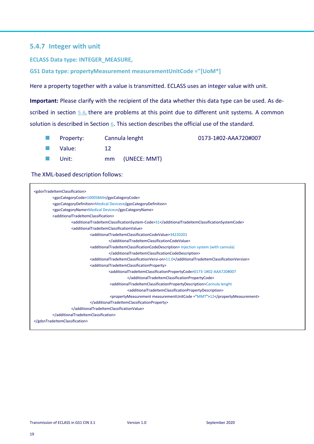## <span id="page-19-0"></span>**5.4.7 Integer with unit**

**ECLASS Data type: INTEGER\_MEASURE,** 

**GS1 Data type: propertyMeasurement measurementUnitCode ="[UoM\*]**

Here a property together with a value is transmitted. ECLASS uses an integer value with unit.

**Important:** Please clarify with the recipient of the data whether this data type can be used. As de-scribed in section [5.6](#page-22-1), there are problems at this point due to different unit systems. A common solution is described in Section [6](#page-23-0). This section describes the official use of the standard.

■ Property: Cannula lenght 0173-1#02-AAA720#007 ■ Value: 12 ■ Unit: mm (UNECE: MMT)

| <gdsntradeitemclassification></gdsntradeitemclassification>                                                                           |
|---------------------------------------------------------------------------------------------------------------------------------------|
| <gpccategorycode>10005844</gpccategorycode>                                                                                           |
| <gpccategorydefinition>Medical Devices</gpccategorydefinition>                                                                        |
| <gpccategoryname>Medical Devices</gpccategoryname>                                                                                    |
| <additionaltradeitemclassification></additionaltradeitemclassification>                                                               |
| <additionaltradeitemclassificationsystem-code>31</additionaltradeitemclassificationsystem-code>                                       |
| <additionaltradeitemclassificationvalue></additionaltradeitemclassificationvalue>                                                     |
| <additionaltradeitemclassificationcodevalue>34220201</additionaltradeitemclassificationcodevalue>                                     |
|                                                                                                                                       |
| <additionaltradeitemclassificationcodedescription> Injection system (with cannula)</additionaltradeitemclassificationcodedescription> |
|                                                                                                                                       |
| <additionaltradeitemclassificationversi-on>11.0</additionaltradeitemclassificationversi-on>                                           |
| <additionaltradeitemclassificationproperty></additionaltradeitemclassificationproperty>                                               |
| <additionaltradeitemclassificationpropertycode>0173-1#02-AAA720#007</additionaltradeitemclassificationpropertycode>                   |
|                                                                                                                                       |
| <additionaltradeitemclassificationpropertydescription>Cannula lenght</additionaltradeitemclassificationpropertydescription>           |
| <additionaltradeitemclassificationpropertydescription></additionaltradeitemclassificationpropertydescription>                         |
| <propertymeasurement measurementunitcode="MMT">12</propertymeasurement>                                                               |
|                                                                                                                                       |
|                                                                                                                                       |
|                                                                                                                                       |
|                                                                                                                                       |
|                                                                                                                                       |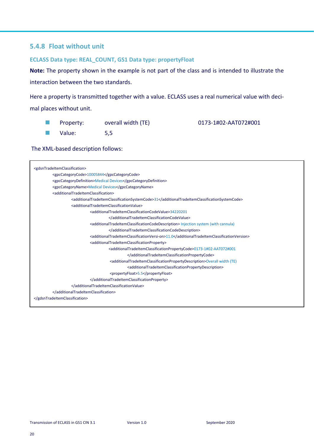## <span id="page-20-0"></span>**5.4.8 Float without unit**

#### **ECLASS Data type: REAL\_COUNT, GS1 Data type: propertyFloat**

**Note:** The property shown in the example is not part of the class and is intended to illustrate the interaction between the two standards.

Here a property is transmitted together with a value. ECLASS uses a real numerical value with decimal places without unit.

| <b>Contract Contract</b> | Property: | overall width (TE) | 0173-1#02-AAT072#001 |
|--------------------------|-----------|--------------------|----------------------|
|                          | Value:    | 5,5                |                      |

The XML-based description follows:

 $\mathsf{r}$ 

| <gdsntradeitemclassification></gdsntradeitemclassification>                                                                           |  |  |  |
|---------------------------------------------------------------------------------------------------------------------------------------|--|--|--|
| <gpccategorycode>10005844</gpccategorycode>                                                                                           |  |  |  |
| <gpccategorydefinition>Medical Devices</gpccategorydefinition>                                                                        |  |  |  |
| <gpccategoryname>Medical Devices</gpccategoryname>                                                                                    |  |  |  |
| <additionaltradeitemclassification></additionaltradeitemclassification>                                                               |  |  |  |
| <additionaltradeitemclassificationsystemcode>31</additionaltradeitemclassificationsystemcode>                                         |  |  |  |
| <additionaltradeitemclassificationvalue></additionaltradeitemclassificationvalue>                                                     |  |  |  |
| <additionaltradeitemclassificationcodevalue>34220201</additionaltradeitemclassificationcodevalue>                                     |  |  |  |
|                                                                                                                                       |  |  |  |
| <additionaltradeitemclassificationcodedescription> Injection system (with cannula)</additionaltradeitemclassificationcodedescription> |  |  |  |
|                                                                                                                                       |  |  |  |
| <additionaltradeitemclassificationversi-on>11.0</additionaltradeitemclassificationversi-on>                                           |  |  |  |
| <additionaltradeitemclassificationproperty></additionaltradeitemclassificationproperty>                                               |  |  |  |
| <additionaltradeitemclassificationpropertycode>0173-1#02-AAT072#001</additionaltradeitemclassificationpropertycode>                   |  |  |  |
|                                                                                                                                       |  |  |  |
| <additionaltradeitemclassificationpropertydescription>Overall width (TE)</additionaltradeitemclassificationpropertydescription>       |  |  |  |
| <additionaltradeitemclassificationpropertydescription></additionaltradeitemclassificationpropertydescription>                         |  |  |  |
| <propertyfloat>5.5</propertyfloat>                                                                                                    |  |  |  |
|                                                                                                                                       |  |  |  |
|                                                                                                                                       |  |  |  |
|                                                                                                                                       |  |  |  |
|                                                                                                                                       |  |  |  |
|                                                                                                                                       |  |  |  |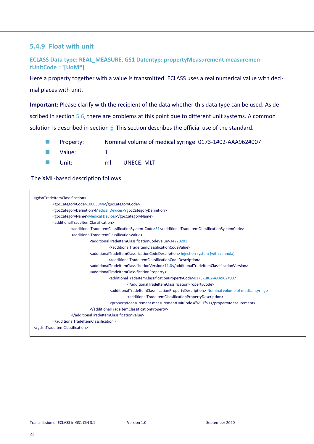## <span id="page-21-0"></span>**5.4.9 Float with unit**

**ECLASS Data type: REAL\_MEASURE, GS1 Datentyp: propertyMeasurement measurementUnitCode ="[UoM\*]**

Here a property together with a value is transmitted. ECLASS uses a real numerical value with decimal places with unit.

**Important:** Please clarify with the recipient of the data whether this data type can be used. As described in section [5.6,](#page-22-1) there are problems at this point due to different unit systems. A common solution is described in section  $6$ . This section describes the official use of the standard.

- Property: Nominal volume of medical syringe 0173-1#02-AAA962#007
- Value: 1
- Unit: ml UNECE: MLT

| <gdsntradeitemclassification></gdsntradeitemclassification>             |                                                                                                                                                 |  |  |  |
|-------------------------------------------------------------------------|-------------------------------------------------------------------------------------------------------------------------------------------------|--|--|--|
| <gpccategorycode>10005844</gpccategorycode>                             |                                                                                                                                                 |  |  |  |
| <gpccategorydefinition>Medical Devices</gpccategorydefinition>          |                                                                                                                                                 |  |  |  |
| <gpccategoryname>Medical Devices</gpccategoryname>                      |                                                                                                                                                 |  |  |  |
| <additionaltradeitemclassification></additionaltradeitemclassification> |                                                                                                                                                 |  |  |  |
|                                                                         | <additionaltradeitemclassificationsystem-code>31</additionaltradeitemclassificationsystem-code>                                                 |  |  |  |
|                                                                         | <additionaltradeitemclassificationvalue></additionaltradeitemclassificationvalue>                                                               |  |  |  |
|                                                                         | <additionaltradeitemclassificationcodevalue>34220201</additionaltradeitemclassificationcodevalue>                                               |  |  |  |
|                                                                         |                                                                                                                                                 |  |  |  |
|                                                                         | <additionaltradeitemclassificationcodedescription> Injection system (with cannula)</additionaltradeitemclassificationcodedescription>           |  |  |  |
|                                                                         |                                                                                                                                                 |  |  |  |
|                                                                         | <additionaltradeitemclassificationversion>11.0</additionaltradeitemclassificationversion>                                                       |  |  |  |
|                                                                         | <additionaltradeitemclassificationproperty></additionaltradeitemclassificationproperty>                                                         |  |  |  |
|                                                                         | <additionaltradeitemclassificationpropertycode>0173-1#02-AAA962#007</additionaltradeitemclassificationpropertycode>                             |  |  |  |
|                                                                         |                                                                                                                                                 |  |  |  |
|                                                                         | <additionaltradeitemclassificationpropertydescription> Nominal volume of medical syringe</additionaltradeitemclassificationpropertydescription> |  |  |  |
|                                                                         | <additionaltradeitemclassificationpropertydescription></additionaltradeitemclassificationpropertydescription>                                   |  |  |  |
|                                                                         | <propertymeasurement measurementunitcode="MLT">1</propertymeasurement>                                                                          |  |  |  |
|                                                                         |                                                                                                                                                 |  |  |  |
|                                                                         |                                                                                                                                                 |  |  |  |
|                                                                         |                                                                                                                                                 |  |  |  |
|                                                                         |                                                                                                                                                 |  |  |  |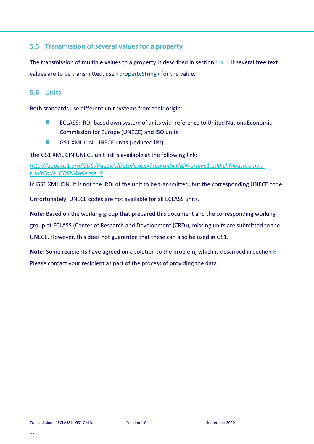## <span id="page-22-0"></span>**5.5 Transmission of several values for a property**

The transmission of multiple values to a property is described in section [5.4.2](#page-14-0). If several free text values are to be transmitted, use <propertyString> for the value.

## <span id="page-22-1"></span>**5.6 Units**

Both standards use different unit systems from their origin:

- ECLASS: IRDI-based own system of units with reference to United Nations Economic Commission for Europe (UNECE) and ISO units
- GS1 XML CIN: UNECE units (reduced list)

The GS1 XML CIN UNECE unit list is available at the following link:

*[http://apps.gs1.org/GDD/Pages/clDetails.aspx?semanticURN=urn:gs1:gdd:cl:Measuremen](http://apps.gs1.org/GDD/Pages/clDetails.aspx?semanticURN=urn:gs1:gdd:cl:MeasurementUnitCode_GDSN&release=9)[tUnitCode\\_GDSN&release=9](http://apps.gs1.org/GDD/Pages/clDetails.aspx?semanticURN=urn:gs1:gdd:cl:MeasurementUnitCode_GDSN&release=9)*

In GS1 XML CIN, it is not the IRDI of the unit to be transmitted, but the corresponding UNECE code.

Unfortunately, UNECE codes are not available for all ECLASS units.

**Note:** Based on the working group that prepared this document and the corresponding working group at ECLASS (Center of Research and Development (CRD)), missing units are submitted to the UNECE. However, this does not guarantee that these can also be used in GS1.

**Note:** Some recipients have agreed on a solution to the problem, which is described in section [6.](#page-23-0) Please contact your recipient as part of the process of providing the data.